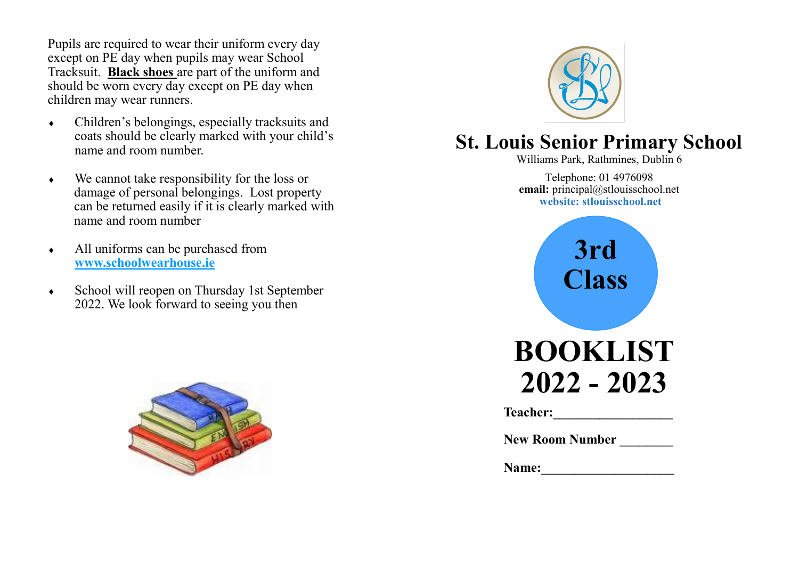Pupils are required to wear their uniform every day except on PE day when pupils may wear School Tracksuit. **Black shoes** are part of the uniform and should be worn every day except on PE day when children may wear runners.

- Children's belongings, especially tracksuits and coats should be clearly marked with your child's name and room number.
- We cannot take responsibility for the loss or damage of personal belongings. Lost property can be returned easily if it is clearly marked with name and room number
- All uniforms can be purchased from **www.schoolwearhouse.ie**
- School will reopen on Thursday 1st September 2022. We look forward to seeing you then





# **St. Louis Senior Primary School**

Williams Park, Rathmines, Dublin 6

Telephone: 01 4976098 **email:** principal@stlouisschool.net **website: stlouisschool.net**



| Name: |
|-------|
|-------|